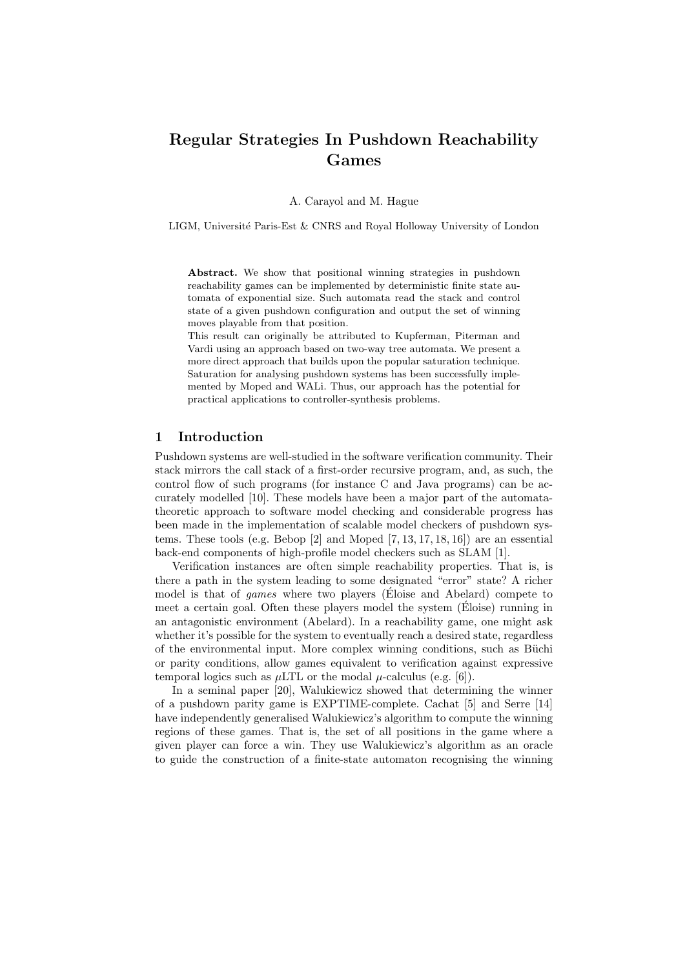# **Regular Strategies In Pushdown Reachability Games**

A. Carayol and M. Hague

LIGM, Université Paris-Est & CNRS and Royal Holloway University of London

**Abstract.** We show that positional winning strategies in pushdown reachability games can be implemented by deterministic finite state automata of exponential size. Such automata read the stack and control state of a given pushdown configuration and output the set of winning moves playable from that position.

This result can originally be attributed to Kupferman, Piterman and Vardi using an approach based on two-way tree automata. We present a more direct approach that builds upon the popular saturation technique. Saturation for analysing pushdown systems has been successfully implemented by Moped and WALi. Thus, our approach has the potential for practical applications to controller-synthesis problems.

# **1 Introduction**

Pushdown systems are well-studied in the software verification community. Their stack mirrors the call stack of a first-order recursive program, and, as such, the control flow of such programs (for instance C and Java programs) can be accurately modelled [10]. These models have been a major part of the automatatheoretic approach to software model checking and considerable progress has been made in the implementation of scalable model checkers of pushdown systems. These tools (e.g. Bebop [2] and Moped [7, 13, 17, 18, 16]) are an essential back-end components of high-profile model checkers such as SLAM [1].

Verification instances are often simple reachability properties. That is, is there a path in the system leading to some designated "error" state? A richer model is that of *games* where two players (Eloise and Abelard) compete to ´ meet a certain goal. Often these players model the system (Eloise) running in ´ an antagonistic environment (Abelard). In a reachability game, one might ask whether it's possible for the system to eventually reach a desired state, regardless of the environmental input. More complex winning conditions, such as Büchi or parity conditions, allow games equivalent to verification against expressive temporal logics such as  $\mu$ LTL or the modal  $\mu$ -calculus (e.g. [6]).

In a seminal paper [20], Walukiewicz showed that determining the winner of a pushdown parity game is EXPTIME-complete. Cachat [5] and Serre [14] have independently generalised Walukiewicz's algorithm to compute the winning regions of these games. That is, the set of all positions in the game where a given player can force a win. They use Walukiewicz's algorithm as an oracle to guide the construction of a finite-state automaton recognising the winning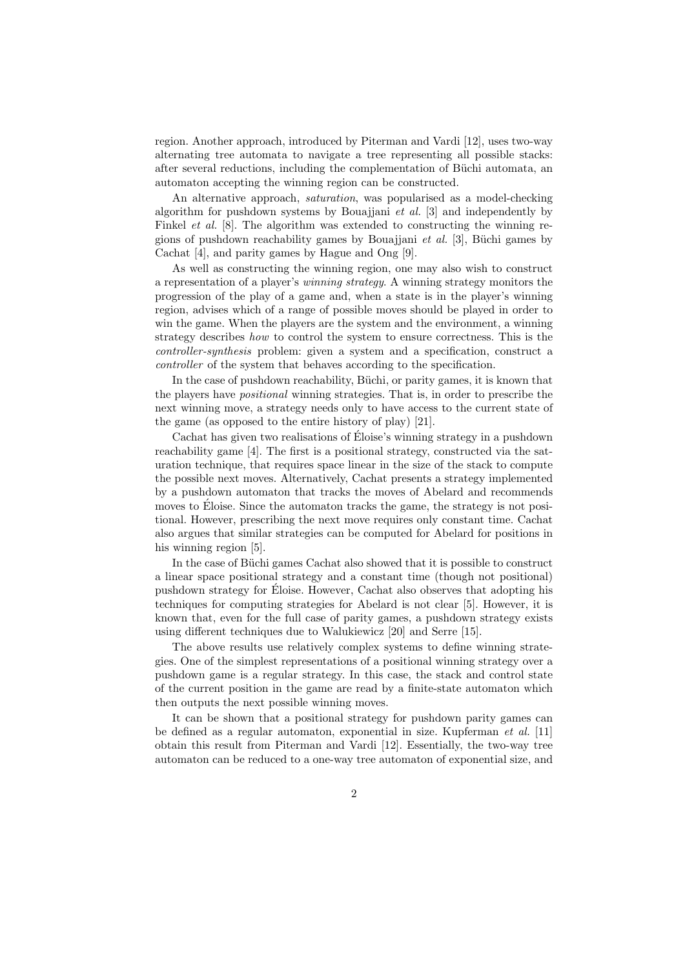region. Another approach, introduced by Piterman and Vardi [12], uses two-way alternating tree automata to navigate a tree representing all possible stacks: after several reductions, including the complementation of Büchi automata, an automaton accepting the winning region can be constructed.

An alternative approach, *saturation*, was popularised as a model-checking algorithm for pushdown systems by Bouajjani *et al.* [3] and independently by Finkel *et al.* [8]. The algorithm was extended to constructing the winning regions of pushdown reachability games by Bouajjani *et al.* [3], Büchi games by Cachat [4], and parity games by Hague and Ong [9].

As well as constructing the winning region, one may also wish to construct a representation of a player's *winning strategy*. A winning strategy monitors the progression of the play of a game and, when a state is in the player's winning region, advises which of a range of possible moves should be played in order to win the game. When the players are the system and the environment, a winning strategy describes *how* to control the system to ensure correctness. This is the *controller-synthesis* problem: given a system and a specification, construct a *controller* of the system that behaves according to the specification.

In the case of pushdown reachability, Büchi, or parity games, it is known that the players have *positional* winning strategies. That is, in order to prescribe the next winning move, a strategy needs only to have access to the current state of the game (as opposed to the entire history of play) [21].

Cachat has given two realisations of Eloise's winning strategy in a pushdown ´ reachability game [4]. The first is a positional strategy, constructed via the saturation technique, that requires space linear in the size of the stack to compute the possible next moves. Alternatively, Cachat presents a strategy implemented by a pushdown automaton that tracks the moves of Abelard and recommends moves to Eloise. Since the automaton tracks the game, the strategy is not positional. However, prescribing the next move requires only constant time. Cachat also argues that similar strategies can be computed for Abelard for positions in his winning region [5].

In the case of Büchi games Cachat also showed that it is possible to construct a linear space positional strategy and a constant time (though not positional) pushdown strategy for Eloise. However, Cachat also observes that adopting his ´ techniques for computing strategies for Abelard is not clear [5]. However, it is known that, even for the full case of parity games, a pushdown strategy exists using different techniques due to Walukiewicz [20] and Serre [15].

The above results use relatively complex systems to define winning strategies. One of the simplest representations of a positional winning strategy over a pushdown game is a regular strategy. In this case, the stack and control state of the current position in the game are read by a finite-state automaton which then outputs the next possible winning moves.

It can be shown that a positional strategy for pushdown parity games can be defined as a regular automaton, exponential in size. Kupferman *et al.* [11] obtain this result from Piterman and Vardi [12]. Essentially, the two-way tree automaton can be reduced to a one-way tree automaton of exponential size, and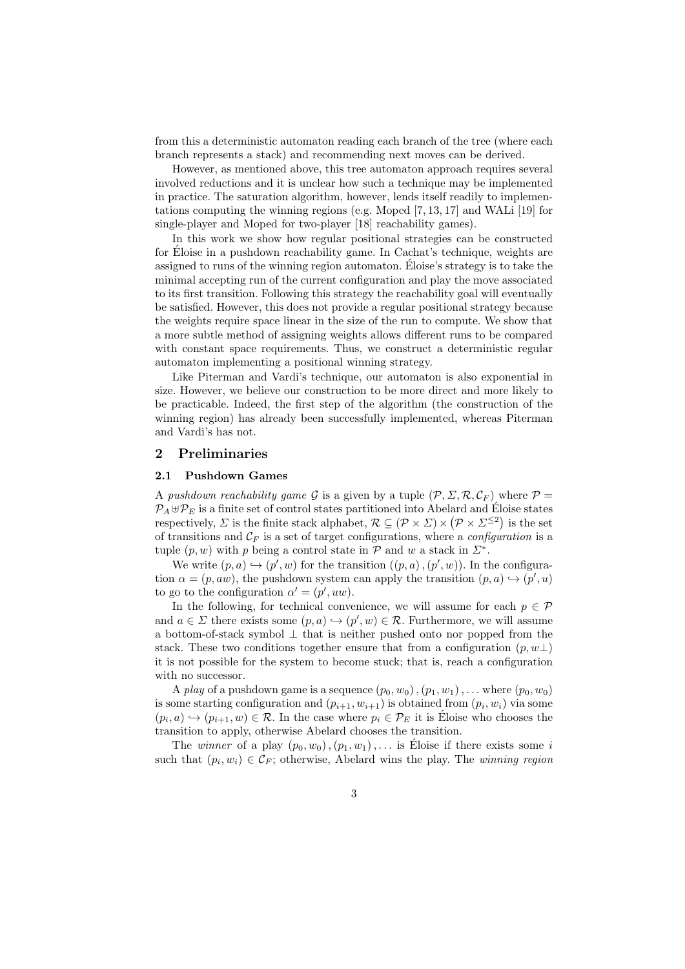from this a deterministic automaton reading each branch of the tree (where each branch represents a stack) and recommending next moves can be derived.

However, as mentioned above, this tree automaton approach requires several involved reductions and it is unclear how such a technique may be implemented in practice. The saturation algorithm, however, lends itself readily to implementations computing the winning regions (e.g. Moped [7, 13, 17] and WALi [19] for single-player and Moped for two-player [18] reachability games).

In this work we show how regular positional strategies can be constructed for Eloise in a pushdown reachability game. In Cachat's technique, weights are ´ assigned to runs of the winning region automaton. Eloise's strategy is to take the ´ minimal accepting run of the current configuration and play the move associated to its first transition. Following this strategy the reachability goal will eventually be satisfied. However, this does not provide a regular positional strategy because the weights require space linear in the size of the run to compute. We show that a more subtle method of assigning weights allows different runs to be compared with constant space requirements. Thus, we construct a deterministic regular automaton implementing a positional winning strategy.

Like Piterman and Vardi's technique, our automaton is also exponential in size. However, we believe our construction to be more direct and more likely to be practicable. Indeed, the first step of the algorithm (the construction of the winning region) has already been successfully implemented, whereas Piterman and Vardi's has not.

## **2 Preliminaries**

# **2.1 Pushdown Games**

A *pushdown reachability game*  $G$  is a given by a tuple  $(\mathcal{P}, \Sigma, \mathcal{R}, \mathcal{C}_F)$  where  $\mathcal{P} =$  $P_A \oplus P_E$  is a finite set of control states partitioned into Abelard and Eloise states respectively,  $\Sigma$  is the finite stack alphabet,  $\mathcal{R} \subseteq (\mathcal{P} \times \Sigma) \times (\mathcal{P} \times \Sigma^{\leq 2})$  is the set of transitions and  $\mathcal{C}_F$  is a set of target configurations, where a *configuration* is a tuple  $(p, w)$  with *p* being a control state in  $\mathcal{P}$  and  $w$  a stack in  $\mathcal{L}^*$ .

We write  $(p, a) \hookrightarrow (p', w)$  for the transition  $((p, a), (p', w))$ . In the configuration  $\alpha = (p, aw)$ , the pushdown system can apply the transition  $(p, a) \hookrightarrow (p', u)$ to go to the configuration  $\alpha' = (p', uw)$ .

In the following, for technical convenience, we will assume for each  $p \in \mathcal{P}$ and  $a \in \Sigma$  there exists some  $(p, a) \hookrightarrow (p', w) \in \mathcal{R}$ . Furthermore, we will assume a bottom-of-stack symbol *⊥* that is neither pushed onto nor popped from the stack. These two conditions together ensure that from a configuration  $(p, w \perp)$ it is not possible for the system to become stuck; that is, reach a configuration with no successor.

A *play* of a pushdown game is a sequence  $(p_0, w_0)$ ,  $(p_1, w_1)$ , ... where  $(p_0, w_0)$ is some starting configuration and  $(p_{i+1}, w_{i+1})$  is obtained from  $(p_i, w_i)$  via some  $(p_i, a) \hookrightarrow (p_{i+1}, w) \in \mathcal{R}$ . In the case where  $p_i \in \mathcal{P}_E$  it is Éloise who chooses the transition to apply, otherwise Abelard chooses the transition.

The *winner* of a play  $(p_0, w_0), (p_1, w_1), \ldots$  is Eloise if there exists some *i* such that  $(p_i, w_i) \in \mathcal{C}_F$ ; otherwise, Abelard wins the play. The *winning region*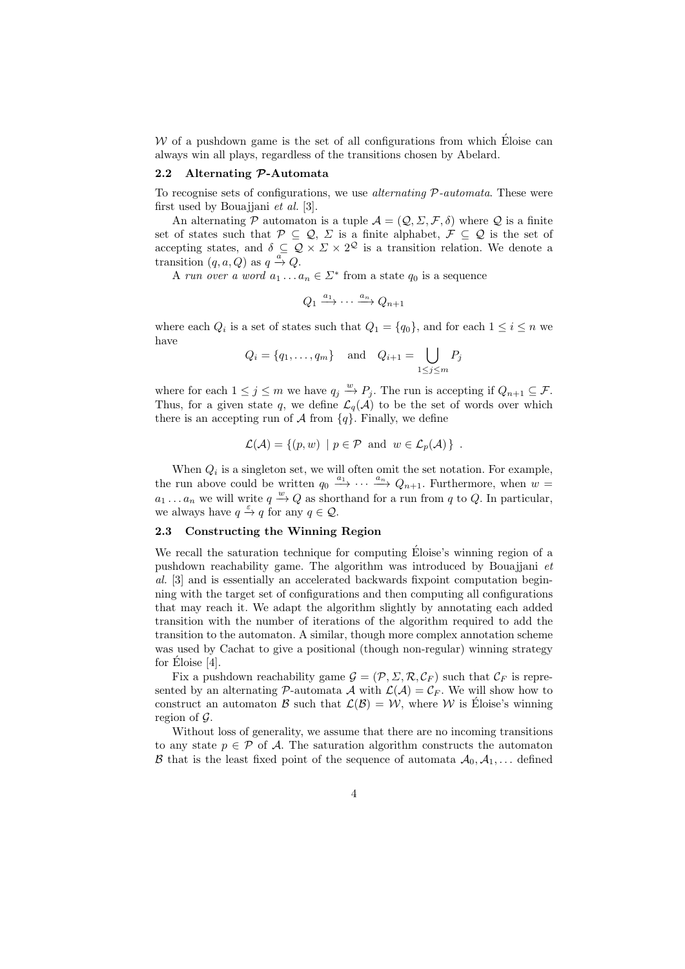$W$  of a pushdown game is the set of all configurations from which Eloise can always win all plays, regardless of the transitions chosen by Abelard.

# **2.2 Alternating** *P***-Automata**

To recognise sets of configurations, we use *alternating P-automata*. These were first used by Bouajjani *et al.* [3].

An alternating  $P$  automaton is a tuple  $A = (Q, \Sigma, \mathcal{F}, \delta)$  where  $Q$  is a finite set of states such that  $P \subseteq Q$ ,  $\Sigma$  is a finite alphabet,  $\mathcal{F} \subseteq Q$  is the set of accepting states, and  $\delta \subseteq \mathcal{Q} \times \Sigma \times 2^{\mathcal{Q}}$  is a transition relation. We denote a transition  $(q, a, Q)$  as  $q \stackrel{a}{\rightarrow} Q$ .

A *run over a word*  $a_1 \ldots a_n \in \Sigma^*$  from a state  $q_0$  is a sequence

$$
Q_1 \xrightarrow{a_1} \cdots \xrightarrow{a_n} Q_{n+1}
$$

where each  $Q_i$  is a set of states such that  $Q_1 = \{q_0\}$ , and for each  $1 \leq i \leq n$  we have

$$
Q_i = \{q_1, \dots, q_m\} \quad \text{and} \quad Q_{i+1} = \bigcup_{1 \leq j \leq m} P_j
$$

where for each  $1 \leq j \leq m$  we have  $q_j \stackrel{w}{\to} P_j$ . The run is accepting if  $Q_{n+1} \subseteq \mathcal{F}$ . Thus, for a given state q, we define  $\mathcal{L}_q(A)$  to be the set of words over which there is an accepting run of  $\mathcal A$  from  $\{q\}$ . Finally, we define

$$
\mathcal{L}(\mathcal{A}) = \{ (p, w) \mid p \in \mathcal{P} \text{ and } w \in \mathcal{L}_p(\mathcal{A}) \} .
$$

When  $Q_i$  is a singleton set, we will often omit the set notation. For example, the run above could be written  $q_0 \xrightarrow{a_1} \cdots \xrightarrow{a_n} Q_{n+1}$ . Furthermore, when  $w =$  $a_1 \ldots a_n$  we will write  $q \stackrel{w}{\rightarrow} Q$  as shorthand for a run from *q* to *Q*. In particular, we always have  $q \stackrel{\varepsilon}{\rightarrow} q$  for any  $q \in \mathcal{Q}$ .

## **2.3 Constructing the Winning Region**

We recall the saturation technique for computing Eloise's winning region of a pushdown reachability game. The algorithm was introduced by Bouajjani *et al.* [3] and is essentially an accelerated backwards fixpoint computation beginning with the target set of configurations and then computing all configurations that may reach it. We adapt the algorithm slightly by annotating each added transition with the number of iterations of the algorithm required to add the transition to the automaton. A similar, though more complex annotation scheme was used by Cachat to give a positional (though non-regular) winning strategy for Éloise [4].

Fix a pushdown reachability game  $\mathcal{G} = (\mathcal{P}, \Sigma, \mathcal{R}, \mathcal{C}_F)$  such that  $\mathcal{C}_F$  is represented by an alternating P-automata *A* with  $\mathcal{L}(\mathcal{A}) = \mathcal{C}_F$ . We will show how to construct an automaton *B* such that  $\mathcal{L}(\mathcal{B}) = \mathcal{W}$ , where *W* is Eloise's winning region of *G*.

Without loss of generality, we assume that there are no incoming transitions to any state  $p \in \mathcal{P}$  of A. The saturation algorithm constructs the automaton *B* that is the least fixed point of the sequence of automata  $A_0, A_1, \ldots$  defined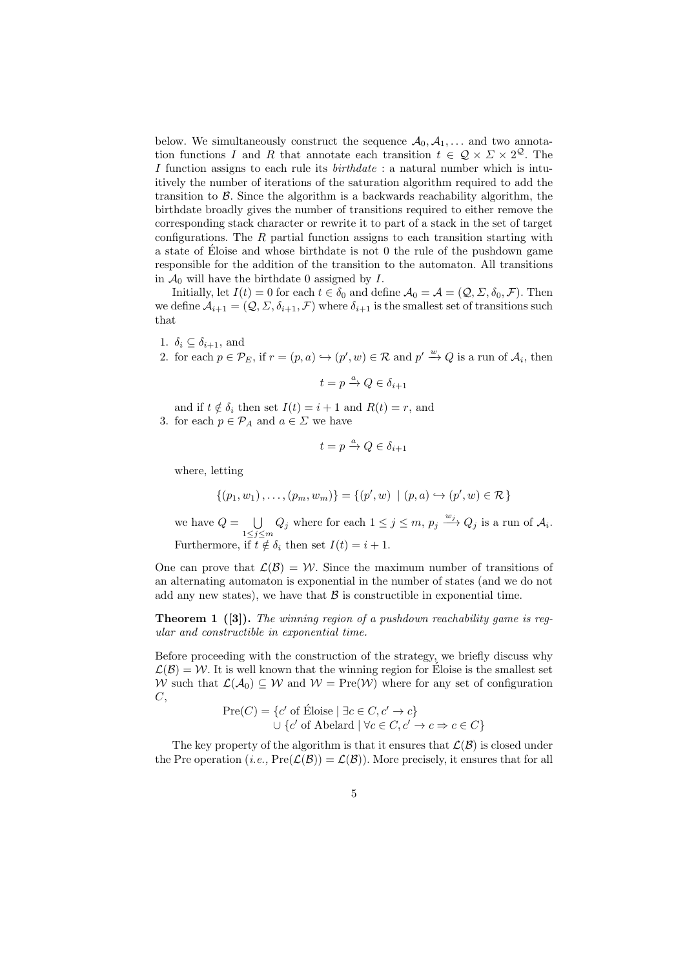below. We simultaneously construct the sequence  $A_0, A_1, \ldots$  and two annotation functions *I* and *R* that annotate each transition  $t \in \mathcal{Q} \times \Sigma \times 2^{\mathcal{Q}}$ . The *I* function assigns to each rule its *birthdate* : a natural number which is intuitively the number of iterations of the saturation algorithm required to add the transition to *B*. Since the algorithm is a backwards reachability algorithm, the birthdate broadly gives the number of transitions required to either remove the corresponding stack character or rewrite it to part of a stack in the set of target configurations. The *R* partial function assigns to each transition starting with a state of Eloise and whose birthdate is not 0 the rule of the pushdown game ´ responsible for the addition of the transition to the automaton. All transitions in  $A_0$  will have the birthdate 0 assigned by  $I$ .

Initially, let  $I(t) = 0$  for each  $t \in \delta_0$  and define  $\mathcal{A}_0 = \mathcal{A} = (\mathcal{Q}, \Sigma, \delta_0, \mathcal{F})$ . Then we define  $A_{i+1} = (Q, \Sigma, \delta_{i+1}, \mathcal{F})$  where  $\delta_{i+1}$  is the smallest set of transitions such that

- 1.  $\delta_i \subseteq \delta_{i+1}$ , and
- 2. for each  $p \in \mathcal{P}_E$ , if  $r = (p, a) \hookrightarrow (p', w) \in \mathcal{R}$  and  $p' \stackrel{w}{\rightarrow} Q$  is a run of  $\mathcal{A}_i$ , then

$$
t = p \xrightarrow{a} Q \in \delta_{i+1}
$$

and if  $t \notin \delta_i$  then set  $I(t) = i + 1$  and  $R(t) = r$ , and 3. for each  $p \in \mathcal{P}_A$  and  $a \in \mathcal{Z}$  we have

$$
t = p \xrightarrow{a} Q \in \delta_{i+1}
$$

where, letting

$$
\{(p_1, w_1), \ldots, (p_m, w_m)\} = \{(p', w) \mid (p, a) \hookrightarrow (p', w) \in \mathcal{R}\}\
$$

we have  $Q = \bigcup$ 1*≤j≤m*  $Q_j$  where for each  $1 \leq j \leq m$ ,  $p_j \xrightarrow{w_j} Q_j$  is a run of  $A_i$ . Furthermore, if  $t \notin \delta_i$  then set  $I(t) = i + 1$ .

One can prove that  $\mathcal{L}(\mathcal{B}) = \mathcal{W}$ . Since the maximum number of transitions of an alternating automaton is exponential in the number of states (and we do not add any new states), we have that  $\beta$  is constructible in exponential time.

**Theorem 1 ([3]).** *The winning region of a pushdown reachability game is regular and constructible in exponential time.*

Before proceeding with the construction of the strategy, we briefly discuss why  $\mathcal{L}(\mathcal{B}) = \mathcal{W}$ . It is well known that the winning region for Eloise is the smallest set *W* such that  $\mathcal{L}(\mathcal{A}_0) \subseteq \mathcal{W}$  and  $\mathcal{W} = \text{Pre}(\mathcal{W})$  where for any set of configuration *C*,

$$
Pre(C) = \{c' \text{ of Éloise } | \exists c \in C, c' \to c\}
$$
  

$$
\cup \{c' \text{ of Abelard } | \forall c \in C, c' \to c \Rightarrow c \in C\}
$$

The key property of the algorithm is that it ensures that  $\mathcal{L}(\mathcal{B})$  is closed under the Pre operation (*i.e.*,  $Pre(\mathcal{L}(\mathcal{B})) = \mathcal{L}(\mathcal{B})$ ). More precisely, it ensures that for all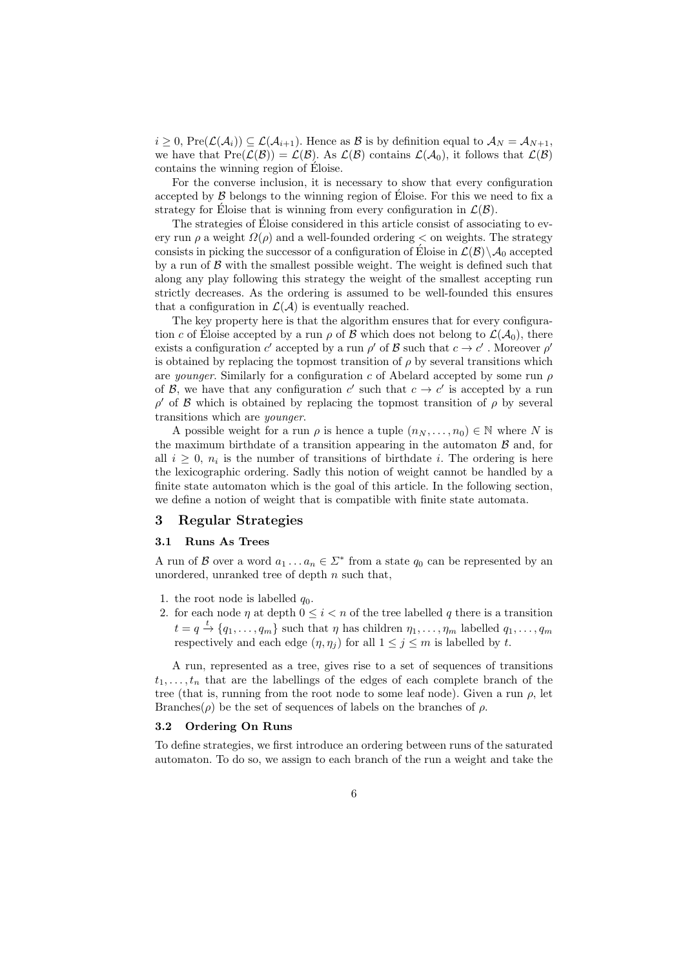$i \geq 0$ , Pre $(\mathcal{L}(\mathcal{A}_i)) \subseteq \mathcal{L}(\mathcal{A}_{i+1})$ . Hence as *B* is by definition equal to  $\mathcal{A}_N = \mathcal{A}_{N+1}$ , we have that  $\text{Pre}(\mathcal{L}(\mathcal{B})) = \mathcal{L}(\mathcal{B})$ . As  $\mathcal{L}(\mathcal{B})$  contains  $\mathcal{L}(\mathcal{A}_0)$ , it follows that  $\mathcal{L}(\mathcal{B})$ contains the winning region of Eloise. ´

For the converse inclusion, it is necessary to show that every configuration accepted by  $\beta$  belongs to the winning region of Eloise. For this we need to fix a strategy for Eloise that is winning from every configuration in  $\mathcal{L}(\mathcal{B})$ .

The strategies of Eloise considered in this article consist of associating to every run  $\rho$  a weight  $\Omega(\rho)$  and a well-founded ordering  $\lt$  on weights. The strategy consists in picking the successor of a configuration of Eloise in  $\mathcal{L}(\mathcal{B})\setminus\mathcal{A}_0$  accepted by a run of *B* with the smallest possible weight. The weight is defined such that along any play following this strategy the weight of the smallest accepting run strictly decreases. As the ordering is assumed to be well-founded this ensures that a configuration in  $\mathcal{L}(\mathcal{A})$  is eventually reached.

The key property here is that the algorithm ensures that for every configuration *c* of Eloise accepted by a run  $\rho$  of  $\beta$  which does not belong to  $\mathcal{L}(\mathcal{A}_0)$ , there exists a configuration *c'* accepted by a run  $\rho'$  of *B* such that  $c \to c'$ . Moreover  $\rho'$ is obtained by replacing the topmost transition of  $\rho$  by several transitions which are *younger*. Similarly for a configuration *c* of Abelard accepted by some run *ρ* of *B*, we have that any configuration *c*' such that  $c \rightarrow c'$  is accepted by a run *ρ*<sup> $\prime$ </sup> of *B* which is obtained by replacing the topmost transition of *ρ* by several transitions which are *younger*.

A possible weight for a run  $\rho$  is hence a tuple  $(n_N, \ldots, n_0) \in \mathbb{N}$  where N is the maximum birthdate of a transition appearing in the automaton *B* and, for all  $i \geq 0$ ,  $n_i$  is the number of transitions of birthdate *i*. The ordering is here the lexicographic ordering. Sadly this notion of weight cannot be handled by a finite state automaton which is the goal of this article. In the following section, we define a notion of weight that is compatible with finite state automata.

# **3 Regular Strategies**

# **3.1 Runs As Trees**

A run of *B* over a word  $a_1 \ldots a_n \in \Sigma^*$  from a state  $q_0$  can be represented by an unordered, unranked tree of depth *n* such that,

- 1. the root node is labelled  $q_0$ .
- 2. for each node *η* at depth  $0 \le i \le n$  of the tree labelled *q* there is a transition  $t = q \stackrel{t}{\rightarrow} \{q_1, \ldots, q_m\}$  such that *η* has children  $\eta_1, \ldots, \eta_m$  labelled  $q_1, \ldots, q_m$ respectively and each edge  $(\eta, \eta_j)$  for all  $1 \leq j \leq m$  is labelled by *t*.

A run, represented as a tree, gives rise to a set of sequences of transitions  $t_1, \ldots, t_n$  that are the labellings of the edges of each complete branch of the tree (that is, running from the root node to some leaf node). Given a run  $\rho$ , let Branches( $\rho$ ) be the set of sequences of labels on the branches of  $\rho$ .

## **3.2 Ordering On Runs**

To define strategies, we first introduce an ordering between runs of the saturated automaton. To do so, we assign to each branch of the run a weight and take the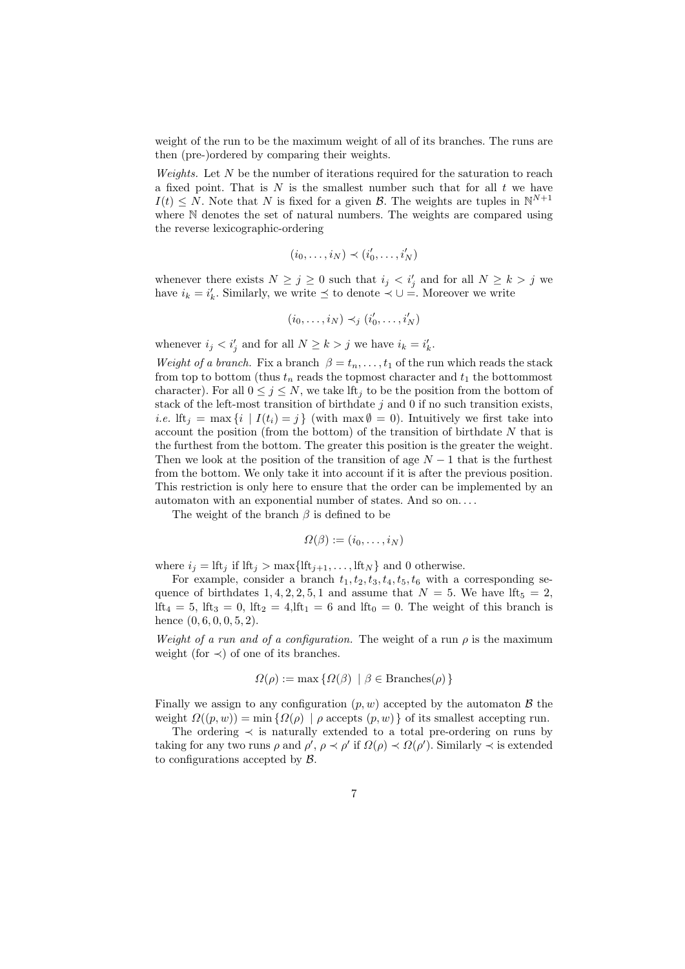weight of the run to be the maximum weight of all of its branches. The runs are then (pre-)ordered by comparing their weights.

*Weights.* Let *N* be the number of iterations required for the saturation to reach a fixed point. That is *N* is the smallest number such that for all *t* we have  $I(t) \leq N$ . Note that *N* is fixed for a given *B*. The weights are tuples in  $\mathbb{N}^{N+1}$ where N denotes the set of natural numbers. The weights are compared using the reverse lexicographic-ordering

$$
(i_0,\ldots,i_N)\prec(i'_0,\ldots,i'_N)
$$

whenever there exists  $N \geq j \geq 0$  such that  $i_j < i'_j$  and for all  $N \geq k > j$  we have  $i_k = i'_k$ . Similarly, we write  $\leq$  to denote  $\prec \cup$  =. Moreover we write

$$
(i_0,\ldots,i_N)\prec_j(i'_0,\ldots,i'_N)
$$

whenever  $i_j < i'_j$  and for all  $N \geq k > j$  we have  $i_k = i'_k$ .

*Weight of a branch.* Fix a branch  $\beta = t_n, \ldots, t_1$  of the run which reads the stack from top to bottom (thus  $t_n$  reads the topmost character and  $t_1$  the bottommost character). For all  $0 \leq j \leq N$ , we take lft<sub>j</sub> to be the position from the bottom of stack of the left-most transition of birthdate  $j$  and  $0$  if no such transition exists, *i.e.* If  $t_i = \max\{i \mid I(t_i) = j\}$  (with  $\max \emptyset = 0$ ). Intuitively we first take into account the position (from the bottom) of the transition of birthdate *N* that is the furthest from the bottom. The greater this position is the greater the weight. Then we look at the position of the transition of age  $N-1$  that is the furthest from the bottom. We only take it into account if it is after the previous position. This restriction is only here to ensure that the order can be implemented by an automaton with an exponential number of states. And so on. . . .

The weight of the branch  $\beta$  is defined to be

$$
\Omega(\beta) := (i_0, \ldots, i_N)
$$

where  $i_j = \text{lft}_j$  if  $\text{lft}_j > \max{\{\text{lft}_{j+1}, \ldots, \text{lft}_N\}}$  and 0 otherwise.

For example, consider a branch  $t_1, t_2, t_3, t_4, t_5, t_6$  with a corresponding sequence of birthdates  $1, 4, 2, 2, 5, 1$  and assume that  $N = 5$ . We have lft<sub>5</sub> = 2,  $lft_4 = 5$ ,  $lft_3 = 0$ ,  $lft_2 = 4$ ,  $lft_1 = 6$  and  $lft_0 = 0$ . The weight of this branch is hence (0*,* 6*,* 0*,* 0*,* 5*,* 2).

*Weight of a run and of a configuration.* The weight of a run  $\rho$  is the maximum weight (for *≺*) of one of its branches.

$$
\Omega(\rho) := \max \{ \Omega(\beta) \mid \beta \in \text{Branches}(\rho) \}
$$

Finally we assign to any configuration  $(p, w)$  accepted by the automaton  $\beta$  the weight  $\Omega((p, w)) = \min \{ \Omega(p) \mid p \text{ accepts } (p, w) \}$  of its smallest accepting run.

The ordering *≺* is naturally extended to a total pre-ordering on runs by taking for any two runs  $\rho$  and  $\rho'$ ,  $\rho \prec \rho'$  if  $\Omega(\rho) \prec \Omega(\rho')$ . Similarly  $\prec$  is extended to configurations accepted by *B*.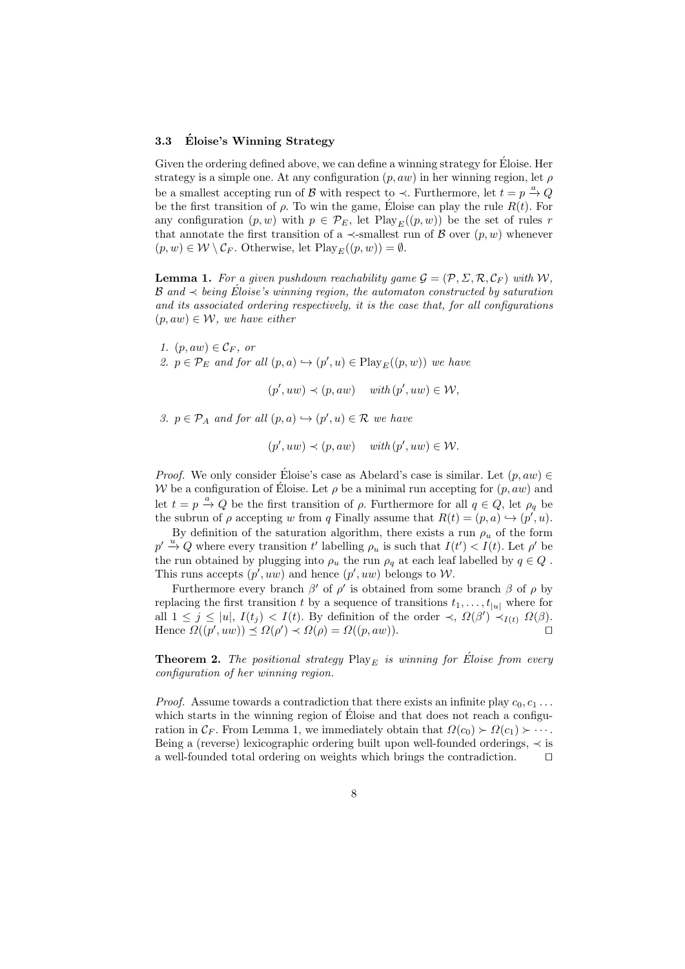#### **3.3 Eloise's Winning Strategy ´**

Given the ordering defined above, we can define a winning strategy for Éloise. Her strategy is a simple one. At any configuration  $(p, aw)$  in her winning region, let  $\rho$ be a smallest accepting run of *B* with respect to  $\prec$ . Furthermore, let  $t = p \stackrel{a}{\to} Q$ be the first transition of  $\rho$ . To win the game, Eloise can play the rule  $R(t)$ . For any configuration  $(p, w)$  with  $p \in \mathcal{P}_E$ , let  $\text{Play}_E((p, w))$  be the set of rules *r* that annotate the first transition of a  $\prec$ -smallest run of *B* over  $(p, w)$  whenever  $(p, w) \in W \setminus C_F$ . Otherwise, let  $\text{Play}_E((p, w)) = \emptyset$ .

**Lemma 1.** For a given pushdown reachability game  $\mathcal{G} = (\mathcal{P}, \Sigma, \mathcal{R}, \mathcal{C}_F)$  with W, *B* and  $\prec$  *being Éloise's winning region, the automaton constructed by saturation and its associated ordering respectively, it is the case that, for all configurations*  $(p, aw) \in W$ *, we have either* 

*1.*  $(p, aw) \in C_F$ *, or* 2.  $p \in \mathcal{P}_E$  and for all  $(p, a) \hookrightarrow (p', u) \in \text{Play}_E((p, w))$  we have

 $(p', uw) \prec (p, aw)$  *with*  $(p', uw) \in W$ ,

*3.*  $p \in \mathcal{P}_A$  *and for all*  $(p, a) \hookrightarrow (p', a) \in \mathcal{R}$  *we have* 

 $(p', uw) \prec (p, aw)$  *with*  $(p', uw) \in W$ .

*Proof.* We only consider Eloise's case as Abelard's case is similar. Let  $(p, aw) \in$ *W* be a configuration of Eloise. Let  $\rho$  be a minimal run accepting for  $(p, aw)$  and let  $t = p \stackrel{a}{\to} Q$  be the first transition of  $\rho$ . Furthermore for all  $q \in Q$ , let  $\rho_q$  be the subrun of  $\rho$  accepting *w* from *q* Finally assume that  $R(t) = (p, a) \hookrightarrow (p', u)$ .

By definition of the saturation algorithm, there exists a run  $\rho_u$  of the form  $p' \stackrel{u}{\rightarrow} Q$  where every transition *t*' labelling  $\rho_u$  is such that  $I(t') < I(t)$ . Let  $\rho'$  be the run obtained by plugging into  $\rho_u$  the run  $\rho_q$  at each leaf labelled by  $q \in Q$ . This runs accepts  $(p', uw)$  and hence  $(p', uw)$  belongs to  $W$ .

Furthermore every branch *β'* of  $ρ'$  is obtained from some branch  $β$  of  $ρ$  by replacing the first transition *t* by a sequence of transitions  $t_1, \ldots, t_{|u|}$  where for all  $1 \leq j \leq |u|, I(t_j) < I(t)$ . By definition of the order  $\prec$ ,  $\Omega(\beta') \prec_{I(t)} \Omega(\beta)$ .  $Hence \Omega((p', uw)) \preceq \Omega(\rho') \prec \Omega(\rho) = \Omega((p, aw)).$ 

**Theorem 2.** *The positional strategy*  $\text{Play}_E$  *is winning for Éloise from every configuration of her winning region.*

*Proof.* Assume towards a contradiction that there exists an infinite play  $c_0, c_1 \ldots$ which starts in the winning region of Eloise and that does not reach a configuration in  $\mathcal{C}_F$ . From Lemma 1, we immediately obtain that  $\Omega(c_0) \succ \Omega(c_1) \succ \cdots$ . Being a (reverse) lexicographic ordering built upon well-founded orderings, *≺* is a well-founded total ordering on weights which brings the contradiction. *⊓⊔*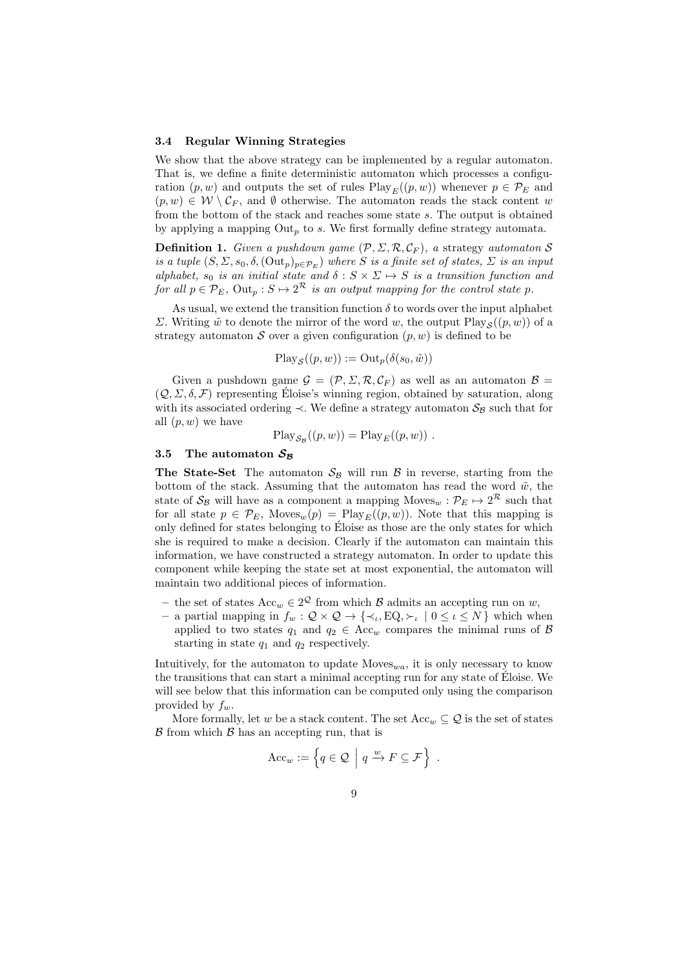#### **3.4 Regular Winning Strategies**

We show that the above strategy can be implemented by a regular automaton. That is, we define a finite deterministic automaton which processes a configuration  $(p, w)$  and outputs the set of rules  $\text{Play}_E((p, w))$  whenever  $p \in \mathcal{P}_E$  and  $(p, w) \in W \setminus C_F$ , and  $\emptyset$  otherwise. The automaton reads the stack content *w* from the bottom of the stack and reaches some state *s*. The output is obtained by applying a mapping  $Out_p$  to *s*. We first formally define strategy automata.

**Definition 1.** *Given a pushdown game*  $(\mathcal{P}, \Sigma, \mathcal{R}, \mathcal{C}_F)$ *, a strategy automaton S is a tuple*  $(S, \Sigma, s_0, \delta, (\text{Out}_p)_{p \in \mathcal{P}_E})$  where *S is a finite set of states,*  $\Sigma$  *is an input alphabet,*  $s_0$  *is an initial state and*  $\delta$  :  $S \times \Sigma \mapsto S$  *is a transition function and for all*  $p \in \mathcal{P}_E$ ,  $\text{Out}_p : S \mapsto 2^{\mathcal{R}}$  *is an output mapping for the control state*  $p$ *.* 

As usual, we extend the transition function  $\delta$  to words over the input alphabet *Σ*. Writing  $\tilde{w}$  to denote the mirror of the word *w*, the output Play<sub>*S*</sub>((*p, w*)) of a strategy automaton *S* over a given configuration  $(p, w)$  is defined to be

$$
\text{Play}_{\mathcal{S}}((p, w)) := \text{Out}_{p}(\delta(s_0, \tilde{w}))
$$

Given a pushdown game  $\mathcal{G} = (\mathcal{P}, \Sigma, \mathcal{R}, \mathcal{C}_F)$  as well as an automaton  $\mathcal{B} =$  $(Q, \Sigma, \delta, \mathcal{F})$  representing Eloise's winning region, obtained by saturation, along with its associated ordering  $\prec$ . We define a strategy automaton  $S_B$  such that for all (*p, w*) we have

$$
\text{Play}_{\mathcal{S}_{\mathcal{B}}}((p, w)) = \text{Play}_{E}((p, w)) .
$$

#### **3.5** The automaton  $S_B$

**The State-Set** The automaton  $S_B$  will run  $\beta$  in reverse, starting from the bottom of the stack. Assuming that the automaton has read the word  $\tilde{w}$ , the state of  $S_B$  will have as a component a mapping Moves<sub>*w*</sub> :  $\mathcal{P}_E \mapsto 2^{\mathcal{R}}$  such that for all state  $p \in \mathcal{P}_E$ , Moves<sub>*w*</sub>( $p$ ) = Play<sub>*E*</sub>(( $p, w$ )). Note that this mapping is only defined for states belonging to Eloise as those are the only states for which ´ she is required to make a decision. Clearly if the automaton can maintain this information, we have constructed a strategy automaton. In order to update this component while keeping the state set at most exponential, the automaton will maintain two additional pieces of information.

- **–** the set of states Acc*<sup>w</sup> ∈* 2 *<sup>Q</sup>* from which *B* admits an accepting run on *w*,
- $-$  a partial mapping in  $f_w$  :  $Q \times Q$  → { $\prec$ <sub>*ι*</sub>, **EQ**,  $\succ$ <sub>*ι*</sub> | 0 ≤ *ι* ≤ *N* } which when applied to two states  $q_1$  and  $q_2 \in Acc_w$  compares the minimal runs of *B* starting in state *q*<sup>1</sup> and *q*<sup>2</sup> respectively.

Intuitively, for the automaton to update  $M$ oves<sub>*wa*</sub>, it is only necessary to know the transitions that can start a minimal accepting run for any state of Eloise. We ´ will see below that this information can be computed only using the comparison provided by *fw*.

More formally, let *w* be a stack content. The set  $Acc_w \subseteq Q$  is the set of states *B* from which *B* has an accepting run, that is

$$
\text{Acc}_{w} := \left\{ q \in \mathcal{Q} \: \middle| \: q \xrightarrow{w} F \subseteq \mathcal{F} \right\} \ .
$$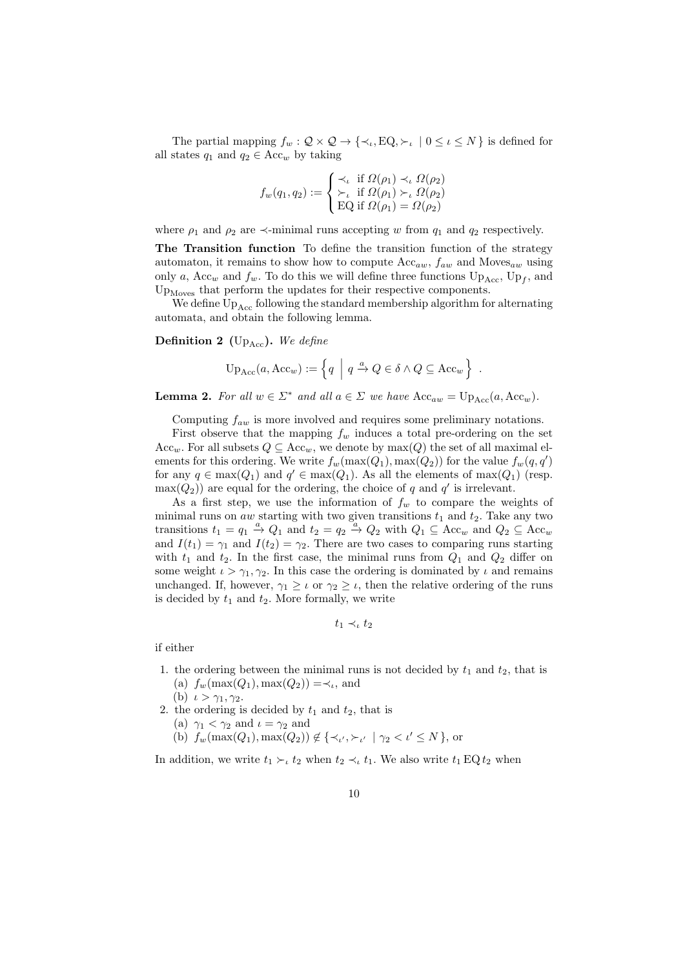The partial mapping  $f_w : \mathcal{Q} \times \mathcal{Q} \to \{\prec_i, \mathrm{EQ}, \succ_i \mid 0 \leq i \leq N\}$  is defined for all states  $q_1$  and  $q_2 \in Acc_w$  by taking

$$
f_w(q_1, q_2) := \begin{cases} \n\prec_{\iota} & \text{if } \Omega(\rho_1) \prec_{\iota} \Omega(\rho_2) \\ \n\succ_{\iota} & \text{if } \Omega(\rho_1) \succ_{\iota} \Omega(\rho_2) \\ \n\text{EQ if } \Omega(\rho_1) = \Omega(\rho_2) \n\end{cases}
$$

where  $\rho_1$  and  $\rho_2$  are  $\prec$ -minimal runs accepting *w* from  $q_1$  and  $q_2$  respectively.

**The Transition function** To define the transition function of the strategy automaton, it remains to show how to compute Acc*aw*, *faw* and Moves*aw* using only *a*,  $Acc_w$  and  $f_w$ . To do this we will define three functions  $Up_{Acc}$ ,  $Up_f$ , and  $\rm Up_{Moves}$  that perform the updates for their respective components.

We define  $Up_{Acc}$  following the standard membership algorithm for alternating automata, and obtain the following lemma.

**Definition 2** ( $Up_{Acc}$ ). We define

$$
\mathrm{Up}_{\mathrm{Acc}}(a, \mathrm{Acc}_{w}) := \left\{ q \mid q \xrightarrow{a} Q \in \delta \wedge Q \subseteq \mathrm{Acc}_{w} \right\} .
$$

**Lemma 2.** For all  $w \in \Sigma^*$  and all  $a \in \Sigma$  we have  $Acc_{aw} = Up_{Acc}(a, Acc_w)$ .

Computing *faw* is more involved and requires some preliminary notations.

First observe that the mapping  $f_w$  induces a total pre-ordering on the set Acc<sub>w</sub>. For all subsets  $Q \subseteq Acc_w$ , we denote by  $max(Q)$  the set of all maximal elements for this ordering. We write  $f_w(\max(Q_1), \max(Q_2))$  for the value  $f_w(q, q')$ for any  $q \in \max(Q_1)$  and  $q' \in \max(Q_1)$ . As all the elements of  $\max(Q_1)$  (resp.  $\max(Q_2)$  are equal for the ordering, the choice of *q* and *q'* is irrelevant.

As a first step, we use the information of  $f_w$  to compare the weights of minimal runs on  $aw$  starting with two given transitions  $t_1$  and  $t_2$ . Take any two transitions  $t_1 = q_1 \stackrel{a}{\rightarrow} Q_1$  and  $t_2 = q_2 \stackrel{a}{\rightarrow} Q_2$  with  $Q_1 \subseteq Acc_w$  and  $Q_2 \subseteq Acc_w$ and  $I(t_1) = \gamma_1$  and  $I(t_2) = \gamma_2$ . There are two cases to comparing runs starting with  $t_1$  and  $t_2$ . In the first case, the minimal runs from  $Q_1$  and  $Q_2$  differ on some weight  $\iota > \gamma_1, \gamma_2$ . In this case the ordering is dominated by  $\iota$  and remains unchanged. If, however,  $\gamma_1 \geq \iota$  or  $\gamma_2 \geq \iota$ , then the relative ordering of the runs is decided by  $t_1$  and  $t_2$ . More formally, we write

 $t_1 \prec t_2$ 

if either

- 1. the ordering between the minimal runs is not decided by  $t_1$  and  $t_2$ , that is  $f_w(\max(Q_1), \max(Q_2)) = \prec_l$ , and
	- (b)  $\iota > \gamma_1, \gamma_2$ .
- 2. the ordering is decided by  $t_1$  and  $t_2$ , that is (a)  $\gamma_1 < \gamma_2$  and  $\iota = \gamma_2$  and
	- (b)  $f_w(\max(Q_1), \max(Q_2)) \notin \{ \prec_{\iota'}, \succ_{\iota'} \mid \gamma_2 < \iota' \leq N \}$ , or

In addition, we write  $t_1 \succ_t t_2$  when  $t_2 \prec_t t_1$ . We also write  $t_1 \to Q t_2$  when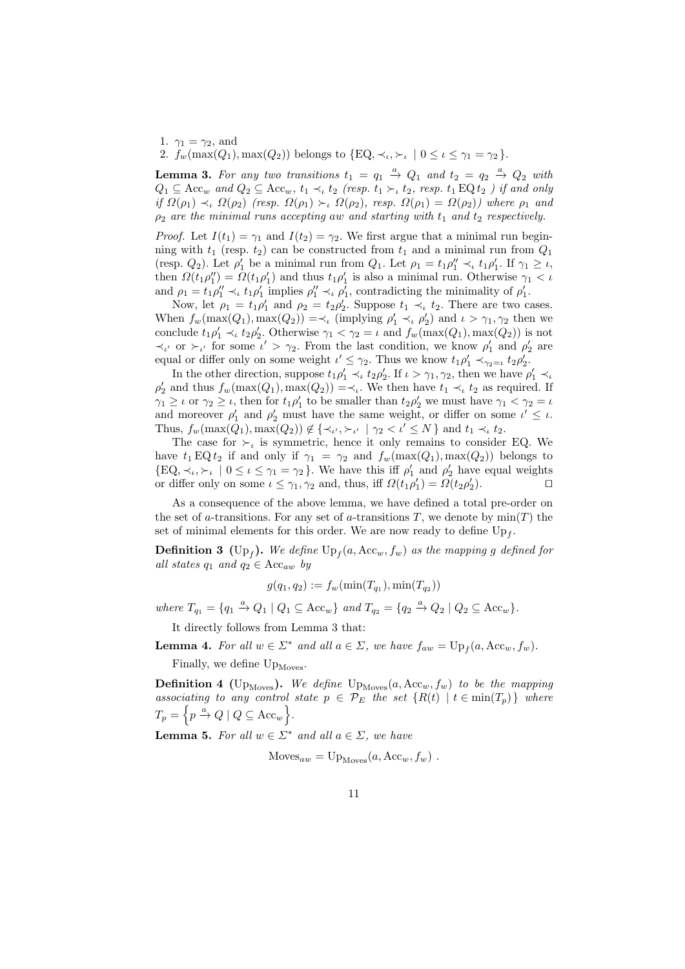- 1.  $\gamma_1 = \gamma_2$ , and
- 2.  $f_w(\max(Q_1), \max(Q_2))$  belongs to  $\{EQ, \prec_i, \succ_i \mid 0 \leq i \leq \gamma_1 = \gamma_2\}$ .

**Lemma 3.** For any two transitions  $t_1 = q_1 \stackrel{a}{\rightarrow} Q_1$  and  $t_2 = q_2 \stackrel{a}{\rightarrow} Q_2$  with  $Q_1 \subseteq Acc_w$  and  $Q_2 \subseteq Acc_w$ ,  $t_1 \prec_t t_2$  (resp.  $t_1 \succ_t t_2$ , resp.  $t_1 \to Q t_2$ ) if and only if  $\Omega(\rho_1) \prec_{\iota} \Omega(\rho_2)$  (resp.  $\Omega(\rho_1) \succ_{\iota} \Omega(\rho_2)$ , resp.  $\Omega(\rho_1) = \Omega(\rho_2)$ ) where  $\rho_1$  and *ρ*<sup>2</sup> *are the minimal runs accepting aw and starting with t*<sup>1</sup> *and t*<sup>2</sup> *respectively.*

*Proof.* Let  $I(t_1) = \gamma_1$  and  $I(t_2) = \gamma_2$ . We first argue that a minimal run beginning with  $t_1$  (resp.  $t_2$ ) can be constructed from  $t_1$  and a minimal run from  $Q_1$ (resp.  $Q_2$ ). Let  $\rho'_1$  be a minimal run from  $Q_1$ . Let  $\rho_1 = t_1 \rho''_1 \prec_t t_1 \rho'_1$ . If  $\gamma_1 \geq \iota$ , then  $\Omega(t_1 \rho_1'') = \Omega(t_1 \rho_1')$  and thus  $t_1 \rho_1'$  is also a minimal run. Otherwise  $\gamma_1 < \iota$ and  $\rho_1 = t_1 \rho_1'' \prec_t t_1 \rho_1'$  implies  $\rho_1'' \prec_t \rho_1'$ , contradicting the minimality of  $\rho_1'$ .

Now, let  $\rho_1 = t_1 \rho'_1$  and  $\rho_2 = t_2 \rho'_2$ . Suppose  $t_1 \prec_t t_2$ . There are two cases. When  $f_w(\max(Q_1), \max(Q_2)) = \prec_i (\text{implying } \rho'_1 \prec_i \rho'_2)$  and  $\iota > \gamma_1, \gamma_2$  then we conclude  $t_1 \rho'_1 \prec_t t_2 \rho'_2$ . Otherwise  $\gamma_1 < \gamma_2 = \iota$  and  $f_w(\max(Q_1), \max(Q_2))$  is not  $\prec$  *′* or *≻*<sub>*ι*</sub><sup>*'*</sup> for some *ι*<sup>'</sup> > *γ*<sub>2</sub>. From the last condition, we know *ρ*<sup>1</sup><sub>1</sub> and *ρ*<sup>2</sup><sub>2</sub> are equal or differ only on some weight  $\iota' \leq \gamma_2$ . Thus we know  $t_1 \rho'_1 \prec_{\gamma_2=i} t_2 \rho'_2$ .

In the other direction, suppose  $t_1 \rho'_1 \prec_t t_2 \rho'_2$ . If  $\iota > \gamma_1, \gamma_2$ , then we have  $\rho'_1 \prec_t \iota$  $\rho'_{2}$  and thus  $f_{w}(\max(Q_{1}), \max(Q_{2})) = \prec_{\iota}$ . We then have  $t_{1} \prec_{\iota} t_{2}$  as required. If  $\gamma_1 \geq \iota$  or  $\gamma_2 \geq \iota$ , then for  $t_1 \rho'_1$  to be smaller than  $t_2 \rho'_2$  we must have  $\gamma_1 < \gamma_2 = \iota$ and moreover  $\rho'_1$  and  $\rho'_2$  must have the same weight, or differ on some  $\iota' \leq \iota$ . Thus,  $f_w(\max(Q_1), \max(Q_2)) \notin \{\prec_{\iota'}, \succ_{\iota'} \mid \gamma_2 < \iota' \leq N\}$  and  $t_1 \prec_{\iota} t_2$ .

The case for  $\succ$ <sub>*ι*</sub> is symmetric, hence it only remains to consider EQ. We have  $t_1 \to Q t_2$  if and only if  $\gamma_1 = \gamma_2$  and  $f_w(\max(Q_1), \max(Q_2))$  belongs to  ${EQ, \prec_{\iota}, \succ_{\iota} \mid 0 \leq \iota \leq \gamma_1 = \gamma_2}.$  We have this iff  $\rho'_1$  and  $\rho'_2$  have equal weights or differ only on some  $\iota \leq \gamma_1, \gamma_2$  and, thus, iff  $\Omega(t_1 \rho'_1) = \Omega(t_2 \rho'_2)$ .  $\Box$ 

As a consequence of the above lemma, we have defined a total pre-order on the set of  $a$ -transitions. For any set of  $a$ -transitions  $T$ , we denote by  $\min(T)$  the set of minimal elements for this order. We are now ready to define Up*<sup>f</sup>* .

**Definition 3** (Up<sub>f</sub>). We define  $Up_f(a, Acc_w, f_w)$  as the mapping g defined for *all states*  $q_1$  *and*  $q_2 \in Acc_{aw}$  *by* 

$$
g(q_1, q_2) := f_w(\min(T_{q_1}), \min(T_{q_2}))
$$

where  $T_{q_1} = \{q_1 \stackrel{a}{\rightarrow} Q_1 \mid Q_1 \subseteq Acc_w\}$  and  $T_{q_2} = \{q_2 \stackrel{a}{\rightarrow} Q_2 \mid Q_2 \subseteq Acc_w\}.$ 

It directly follows from Lemma 3 that:

**Lemma 4.** For all  $w \in \Sigma^*$  and all  $a \in \Sigma$ , we have  $f_{aw} = \text{Up}_f(a, \text{Acc}_w, f_w)$ .

Finally, we define  $Up_{Moves}$ .

**Definition 4** (Up<sub>Moves</sub>). We define  $Up_{\text{Moves}}(a, Acc_w, f_w)$  to be the mapping *associating to any control state*  $p \in \mathcal{P}_E$  *the set*  $\{R(t) | t \in min(T_p)\}$  *where*  $T_p = \left\{ p \stackrel{a}{\rightarrow} Q \mid Q \subseteq Acc_w \right\}.$ 

**Lemma 5.** For all  $w \in \Sigma^*$  and all  $a \in \Sigma$ , we have

$$
Moves_{aw} = Up_{Moves}(a, Acc_w, f_w) .
$$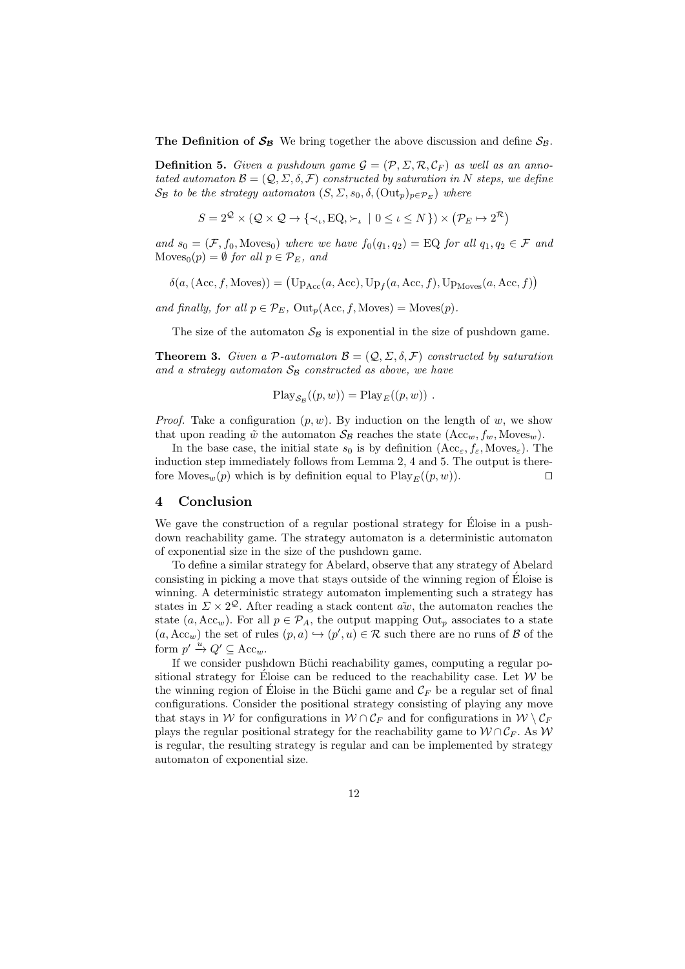**The Definition of**  $S_B$  We bring together the above discussion and define  $S_B$ .

**Definition 5.** *Given a pushdown game*  $\mathcal{G} = (\mathcal{P}, \Sigma, \mathcal{R}, \mathcal{C}_F)$  *as well as an annotated automaton*  $\mathcal{B} = (Q, \Sigma, \delta, \mathcal{F})$  *constructed by saturation in* N *steps, we define*  $S_{\mathcal{B}}$  *to be the strategy automaton*  $(S, \Sigma, s_0, \delta, (\text{Out}_p)_{p \in \mathcal{P}_E})$  *where* 

$$
S = 2^{\mathcal{Q}} \times (\mathcal{Q} \times \mathcal{Q} \to \{\prec_{\iota}, \mathbf{EQ}, \succ_{\iota} \mid 0 \leq \iota \leq N\}) \times (\mathcal{P}_E \mapsto 2^{\mathcal{R}})
$$

*and*  $s_0 = (\mathcal{F}, f_0, \text{Moves}_0)$  *where we have*  $f_0(q_1, q_2) = \text{EQ}$  *for all*  $q_1, q_2 \in \mathcal{F}$  *and* Moves<sub>0</sub> $(p) = \emptyset$  *for all*  $p \in \mathcal{P}_E$ *, and* 

$$
\delta(a, (\text{Acc}, f, \text{Moves})) = (\text{Up}_{\text{Acc}}(a, \text{Acc}), \text{Up}_f(a, \text{Acc}, f), \text{Up}_{\text{Moves}}(a, \text{Acc}, f))
$$

*and finally, for all*  $p \in \mathcal{P}_E$ ,  $Out_p(Acc, f, \text{Moves}) = \text{Moves}(p)$ *.* 

The size of the automaton  $S_B$  is exponential in the size of pushdown game.

**Theorem 3.** *Given a P-automaton*  $\mathcal{B} = (Q, \Sigma, \delta, \mathcal{F})$  *constructed by saturation and a strategy automaton S<sup>B</sup> constructed as above, we have*

$$
\text{Play}_{\mathcal{S}_{\mathcal{B}}}((p, w)) = \text{Play}_E((p, w)) .
$$

*Proof.* Take a configuration  $(p, w)$ . By induction on the length of  $w$ , we show that upon reading  $\tilde{w}$  the automaton  $S_B$  reaches the state  $(\text{Acc}_w, f_w, \text{Moves}_w)$ .

In the base case, the initial state  $s_0$  is by definition  $(Acc_{\varepsilon}, f_{\varepsilon}, \text{Moves}_{\varepsilon})$ . The induction step immediately follows from Lemma 2, 4 and 5. The output is therefore Moves<sub>*w*</sub>( $p$ ) which is by definition equal to Play<sub>*E*</sub>(( $p, w$ )).  $\Box$ 

# **4 Conclusion**

We gave the construction of a regular postional strategy for Eloise in a pushdown reachability game. The strategy automaton is a deterministic automaton of exponential size in the size of the pushdown game.

To define a similar strategy for Abelard, observe that any strategy of Abelard consisting in picking a move that stays outside of the winning region of Eloise is ´ winning. A deterministic strategy automaton implementing such a strategy has states in  $\Sigma \times 2^{\mathcal{Q}}$ . After reading a stack content  $\tilde{aw}$ , the automaton reaches the state  $(a, Acc_w)$ . For all  $p \in \mathcal{P}_A$ , the output mapping  $Out_p$  associates to a state  $(a, Acc_w)$  the set of rules  $(p, a) \hookrightarrow (p', u) \in \mathcal{R}$  such there are no runs of  $\mathcal{B}$  of the form  $p' \stackrel{u}{\rightarrow} Q' \subseteq Acc_w$ .

If we consider pushdown Büchi reachability games, computing a regular positional strategy for Eloise can be reduced to the reachability case. Let  $W$  be the winning region of Eloise in the Büchi game and  $\mathcal{C}_F$  be a regular set of final configurations. Consider the positional strategy consisting of playing any move that stays in *W* for configurations in  $W \cap C_F$  and for configurations in  $W \setminus C_F$ plays the regular positional strategy for the reachability game to  $W \cap C_F$ . As *W* is regular, the resulting strategy is regular and can be implemented by strategy automaton of exponential size.